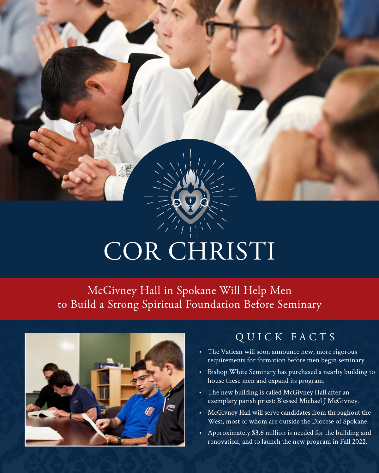# COR CHRISTI

McGivney Hall in Spokane Will Help Men to Build a Strong Spiritual Foundation Before Seminary



### QUICK FACTS

- The Vatican will soon announce new, more rigorous requirements for formation before men begin seminary.
- Bishop White Seminary has purchased a nearby building to house these men and expand its program.
- The new building is called McGivney Hall after an exemplary parish priest: Blessed Michael J McGivney.
- McGivney Hall will serve candidates from throughout the West, most of whom are outside the Diocese of Spokane.
- Approximately \$3.6 million is needed for the building and renovation, and to launch the new program in Fall 2022.